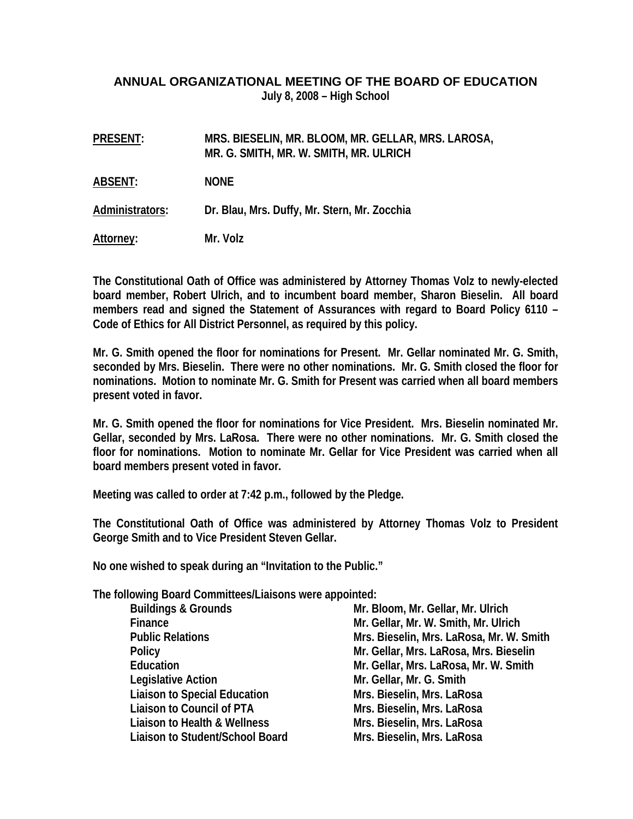## **ANNUAL ORGANIZATIONAL MEETING OF THE BOARD OF EDUCATION July 8, 2008 – High School**

| <b>PRESENT:</b> | MRS. BIESELIN, MR. BLOOM, MR. GELLAR, MRS. LAROSA,<br>MR. G. SMITH, MR. W. SMITH, MR. ULRICH |
|-----------------|----------------------------------------------------------------------------------------------|
| <b>ABSENT:</b>  | <b>NONE</b>                                                                                  |
| Administrators: | Dr. Blau, Mrs. Duffy, Mr. Stern, Mr. Zocchia                                                 |
| Attorney:       | Mr. Volz                                                                                     |

**The Constitutional Oath of Office was administered by Attorney Thomas Volz to newly-elected board member, Robert Ulrich, and to incumbent board member, Sharon Bieselin. All board members read and signed the Statement of Assurances with regard to Board Policy 6110 – Code of Ethics for All District Personnel, as required by this policy.** 

**Mr. G. Smith opened the floor for nominations for Present. Mr. Gellar nominated Mr. G. Smith, seconded by Mrs. Bieselin. There were no other nominations. Mr. G. Smith closed the floor for nominations. Motion to nominate Mr. G. Smith for Present was carried when all board members present voted in favor.** 

**Mr. G. Smith opened the floor for nominations for Vice President. Mrs. Bieselin nominated Mr. Gellar, seconded by Mrs. LaRosa. There were no other nominations. Mr. G. Smith closed the floor for nominations. Motion to nominate Mr. Gellar for Vice President was carried when all board members present voted in favor.** 

**Meeting was called to order at 7:42 p.m., followed by the Pledge.** 

**The Constitutional Oath of Office was administered by Attorney Thomas Volz to President George Smith and to Vice President Steven Gellar.** 

**No one wished to speak during an "Invitation to the Public."** 

**The following Board Committees/Liaisons were appointed:** 

| <b>Buildings &amp; Grounds</b>      | Mr. Bloom, Mr. Gellar, Mr. Ulrich        |
|-------------------------------------|------------------------------------------|
| Finance                             | Mr. Gellar, Mr. W. Smith, Mr. Ulrich     |
| <b>Public Relations</b>             | Mrs. Bieselin, Mrs. LaRosa, Mr. W. Smith |
| Policy                              | Mr. Gellar, Mrs. LaRosa, Mrs. Bieselin   |
| Education                           | Mr. Gellar, Mrs. LaRosa, Mr. W. Smith    |
| <b>Legislative Action</b>           | Mr. Gellar, Mr. G. Smith                 |
| <b>Liaison to Special Education</b> | Mrs. Bieselin, Mrs. LaRosa               |
| Liaison to Council of PTA           | Mrs. Bieselin, Mrs. LaRosa               |
| Liaison to Health & Wellness        | Mrs. Bieselin, Mrs. LaRosa               |
| Liaison to Student/School Board     | Mrs. Bieselin, Mrs. LaRosa               |
|                                     |                                          |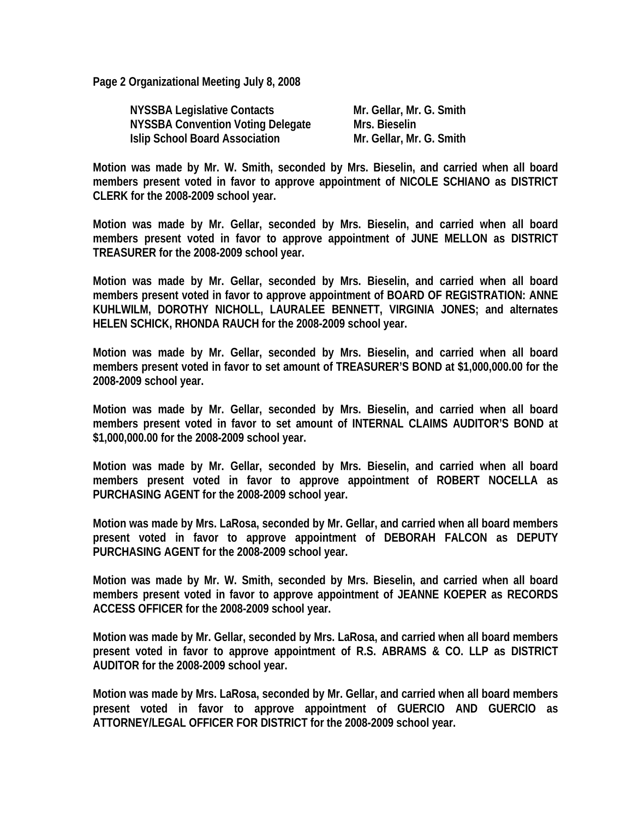**Page 2 Organizational Meeting July 8, 2008** 

| <b>NYSSBA Legislative Contacts</b>    | Mr. Gellar, Mr. G. Smith |
|---------------------------------------|--------------------------|
| NYSSBA Convention Voting Delegate     | Mrs. Bieselin            |
| <b>Islip School Board Association</b> | Mr. Gellar, Mr. G. Smith |

**Motion was made by Mr. W. Smith, seconded by Mrs. Bieselin, and carried when all board members present voted in favor to approve appointment of NICOLE SCHIANO as DISTRICT CLERK for the 2008-2009 school year.** 

**Motion was made by Mr. Gellar, seconded by Mrs. Bieselin, and carried when all board members present voted in favor to approve appointment of JUNE MELLON as DISTRICT TREASURER for the 2008-2009 school year.** 

**Motion was made by Mr. Gellar, seconded by Mrs. Bieselin, and carried when all board members present voted in favor to approve appointment of BOARD OF REGISTRATION: ANNE KUHLWILM, DOROTHY NICHOLL, LAURALEE BENNETT, VIRGINIA JONES; and alternates HELEN SCHICK, RHONDA RAUCH for the 2008-2009 school year.** 

**Motion was made by Mr. Gellar, seconded by Mrs. Bieselin, and carried when all board members present voted in favor to set amount of TREASURER'S BOND at \$1,000,000.00 for the 2008-2009 school year.** 

**Motion was made by Mr. Gellar, seconded by Mrs. Bieselin, and carried when all board members present voted in favor to set amount of INTERNAL CLAIMS AUDITOR'S BOND at \$1,000,000.00 for the 2008-2009 school year.** 

**Motion was made by Mr. Gellar, seconded by Mrs. Bieselin, and carried when all board members present voted in favor to approve appointment of ROBERT NOCELLA as PURCHASING AGENT for the 2008-2009 school year.** 

**Motion was made by Mrs. LaRosa, seconded by Mr. Gellar, and carried when all board members present voted in favor to approve appointment of DEBORAH FALCON as DEPUTY PURCHASING AGENT for the 2008-2009 school year.** 

**Motion was made by Mr. W. Smith, seconded by Mrs. Bieselin, and carried when all board members present voted in favor to approve appointment of JEANNE KOEPER as RECORDS ACCESS OFFICER for the 2008-2009 school year.** 

**Motion was made by Mr. Gellar, seconded by Mrs. LaRosa, and carried when all board members present voted in favor to approve appointment of R.S. ABRAMS & CO. LLP as DISTRICT AUDITOR for the 2008-2009 school year.** 

**Motion was made by Mrs. LaRosa, seconded by Mr. Gellar, and carried when all board members present voted in favor to approve appointment of GUERCIO AND GUERCIO as ATTORNEY/LEGAL OFFICER FOR DISTRICT for the 2008-2009 school year.**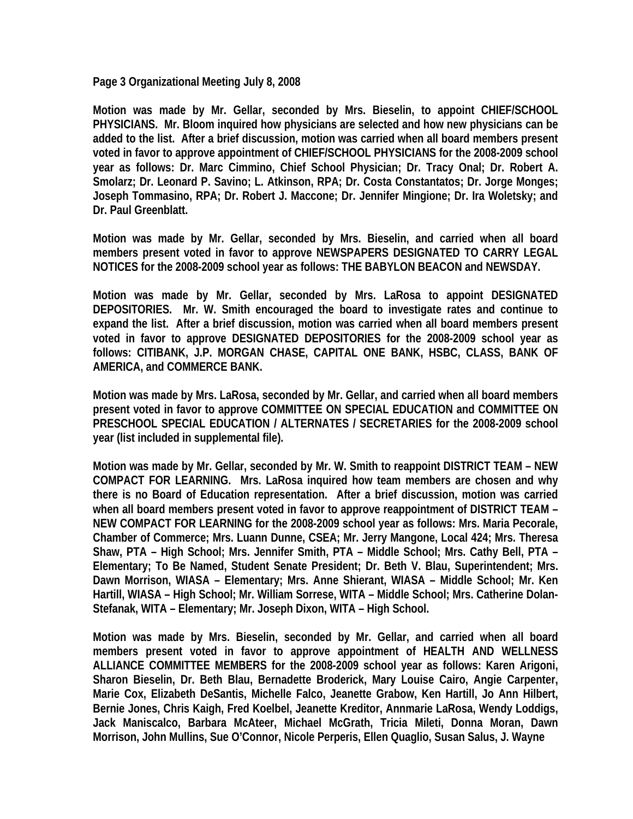**Page 3 Organizational Meeting July 8, 2008** 

**Motion was made by Mr. Gellar, seconded by Mrs. Bieselin, to appoint CHIEF/SCHOOL PHYSICIANS. Mr. Bloom inquired how physicians are selected and how new physicians can be added to the list. After a brief discussion, motion was carried when all board members present voted in favor to approve appointment of CHIEF/SCHOOL PHYSICIANS for the 2008-2009 school year as follows: Dr. Marc Cimmino, Chief School Physician; Dr. Tracy Onal; Dr. Robert A. Smolarz; Dr. Leonard P. Savino; L. Atkinson, RPA; Dr. Costa Constantatos; Dr. Jorge Monges; Joseph Tommasino, RPA; Dr. Robert J. Maccone; Dr. Jennifer Mingione; Dr. Ira Woletsky; and Dr. Paul Greenblatt.** 

**Motion was made by Mr. Gellar, seconded by Mrs. Bieselin, and carried when all board members present voted in favor to approve NEWSPAPERS DESIGNATED TO CARRY LEGAL NOTICES for the 2008-2009 school year as follows: THE BABYLON BEACON and NEWSDAY.** 

**Motion was made by Mr. Gellar, seconded by Mrs. LaRosa to appoint DESIGNATED DEPOSITORIES. Mr. W. Smith encouraged the board to investigate rates and continue to expand the list. After a brief discussion, motion was carried when all board members present voted in favor to approve DESIGNATED DEPOSITORIES for the 2008-2009 school year as follows: CITIBANK, J.P. MORGAN CHASE, CAPITAL ONE BANK, HSBC, CLASS, BANK OF AMERICA, and COMMERCE BANK.** 

**Motion was made by Mrs. LaRosa, seconded by Mr. Gellar, and carried when all board members present voted in favor to approve COMMITTEE ON SPECIAL EDUCATION and COMMITTEE ON PRESCHOOL SPECIAL EDUCATION / ALTERNATES / SECRETARIES for the 2008-2009 school year (list included in supplemental file).** 

**Motion was made by Mr. Gellar, seconded by Mr. W. Smith to reappoint DISTRICT TEAM – NEW COMPACT FOR LEARNING. Mrs. LaRosa inquired how team members are chosen and why there is no Board of Education representation. After a brief discussion, motion was carried when all board members present voted in favor to approve reappointment of DISTRICT TEAM – NEW COMPACT FOR LEARNING for the 2008-2009 school year as follows: Mrs. Maria Pecorale, Chamber of Commerce; Mrs. Luann Dunne, CSEA; Mr. Jerry Mangone, Local 424; Mrs. Theresa Shaw, PTA – High School; Mrs. Jennifer Smith, PTA – Middle School; Mrs. Cathy Bell, PTA – Elementary; To Be Named, Student Senate President; Dr. Beth V. Blau, Superintendent; Mrs. Dawn Morrison, WIASA – Elementary; Mrs. Anne Shierant, WIASA – Middle School; Mr. Ken Hartill, WIASA – High School; Mr. William Sorrese, WITA – Middle School; Mrs. Catherine Dolan-Stefanak, WITA – Elementary; Mr. Joseph Dixon, WITA – High School.** 

**Motion was made by Mrs. Bieselin, seconded by Mr. Gellar, and carried when all board members present voted in favor to approve appointment of HEALTH AND WELLNESS ALLIANCE COMMITTEE MEMBERS for the 2008-2009 school year as follows: Karen Arigoni, Sharon Bieselin, Dr. Beth Blau, Bernadette Broderick, Mary Louise Cairo, Angie Carpenter, Marie Cox, Elizabeth DeSantis, Michelle Falco, Jeanette Grabow, Ken Hartill, Jo Ann Hilbert, Bernie Jones, Chris Kaigh, Fred Koelbel, Jeanette Kreditor, Annmarie LaRosa, Wendy Loddigs, Jack Maniscalco, Barbara McAteer, Michael McGrath, Tricia Mileti, Donna Moran, Dawn Morrison, John Mullins, Sue O'Connor, Nicole Perperis, Ellen Quaglio, Susan Salus, J. Wayne**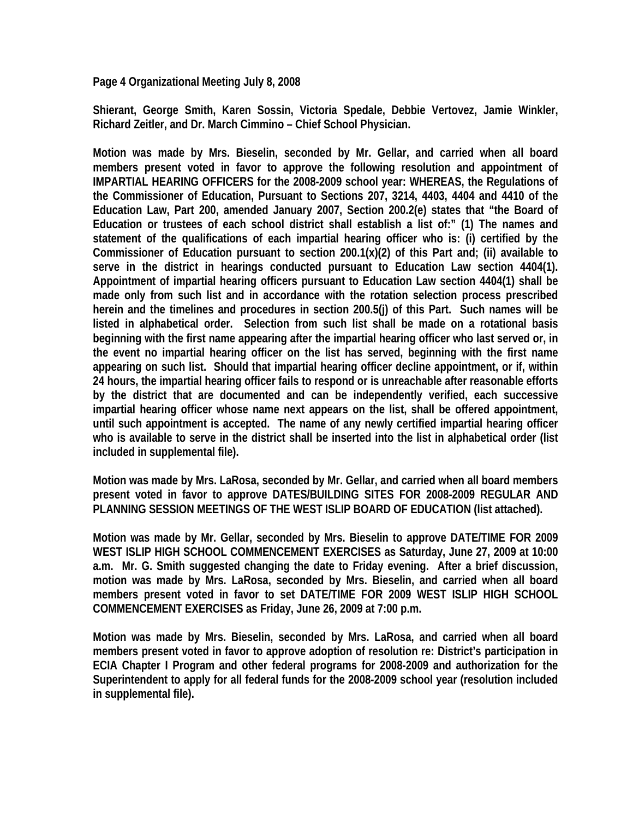**Page 4 Organizational Meeting July 8, 2008** 

**Shierant, George Smith, Karen Sossin, Victoria Spedale, Debbie Vertovez, Jamie Winkler, Richard Zeitler, and Dr. March Cimmino – Chief School Physician.** 

**Motion was made by Mrs. Bieselin, seconded by Mr. Gellar, and carried when all board members present voted in favor to approve the following resolution and appointment of IMPARTIAL HEARING OFFICERS for the 2008-2009 school year: WHEREAS, the Regulations of the Commissioner of Education, Pursuant to Sections 207, 3214, 4403, 4404 and 4410 of the Education Law, Part 200, amended January 2007, Section 200.2(e) states that "the Board of Education or trustees of each school district shall establish a list of:" (1) The names and statement of the qualifications of each impartial hearing officer who is: (i) certified by the Commissioner of Education pursuant to section 200.1(x)(2) of this Part and; (ii) available to serve in the district in hearings conducted pursuant to Education Law section 4404(1). Appointment of impartial hearing officers pursuant to Education Law section 4404(1) shall be made only from such list and in accordance with the rotation selection process prescribed herein and the timelines and procedures in section 200.5(j) of this Part. Such names will be listed in alphabetical order. Selection from such list shall be made on a rotational basis beginning with the first name appearing after the impartial hearing officer who last served or, in the event no impartial hearing officer on the list has served, beginning with the first name appearing on such list. Should that impartial hearing officer decline appointment, or if, within 24 hours, the impartial hearing officer fails to respond or is unreachable after reasonable efforts by the district that are documented and can be independently verified, each successive impartial hearing officer whose name next appears on the list, shall be offered appointment, until such appointment is accepted. The name of any newly certified impartial hearing officer who is available to serve in the district shall be inserted into the list in alphabetical order (list included in supplemental file).** 

**Motion was made by Mrs. LaRosa, seconded by Mr. Gellar, and carried when all board members present voted in favor to approve DATES/BUILDING SITES FOR 2008-2009 REGULAR AND PLANNING SESSION MEETINGS OF THE WEST ISLIP BOARD OF EDUCATION (list attached).** 

**Motion was made by Mr. Gellar, seconded by Mrs. Bieselin to approve DATE/TIME FOR 2009 WEST ISLIP HIGH SCHOOL COMMENCEMENT EXERCISES as Saturday, June 27, 2009 at 10:00 a.m. Mr. G. Smith suggested changing the date to Friday evening. After a brief discussion, motion was made by Mrs. LaRosa, seconded by Mrs. Bieselin, and carried when all board members present voted in favor to set DATE/TIME FOR 2009 WEST ISLIP HIGH SCHOOL COMMENCEMENT EXERCISES as Friday, June 26, 2009 at 7:00 p.m.** 

**Motion was made by Mrs. Bieselin, seconded by Mrs. LaRosa, and carried when all board members present voted in favor to approve adoption of resolution re: District's participation in ECIA Chapter I Program and other federal programs for 2008-2009 and authorization for the Superintendent to apply for all federal funds for the 2008-2009 school year (resolution included in supplemental file).**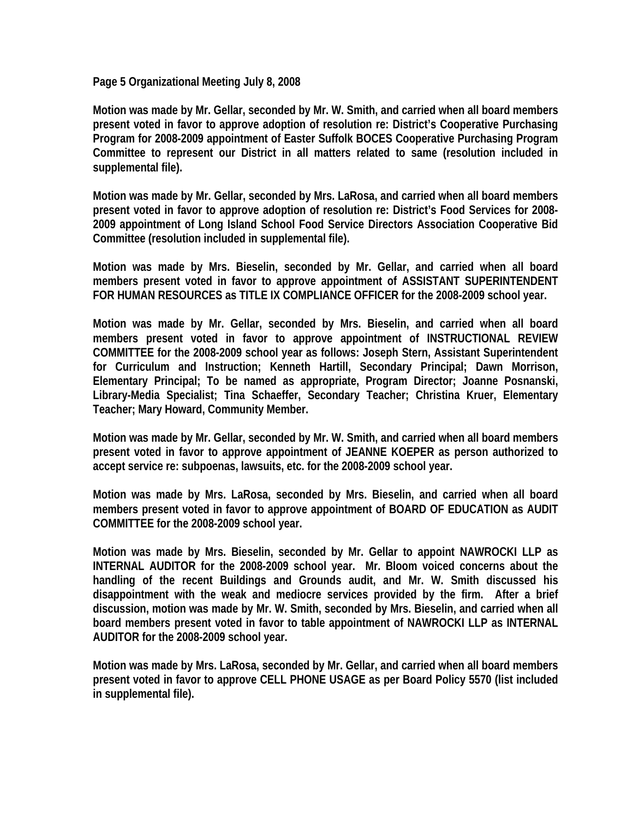**Page 5 Organizational Meeting July 8, 2008** 

**Motion was made by Mr. Gellar, seconded by Mr. W. Smith, and carried when all board members present voted in favor to approve adoption of resolution re: District's Cooperative Purchasing Program for 2008-2009 appointment of Easter Suffolk BOCES Cooperative Purchasing Program Committee to represent our District in all matters related to same (resolution included in supplemental file).** 

**Motion was made by Mr. Gellar, seconded by Mrs. LaRosa, and carried when all board members present voted in favor to approve adoption of resolution re: District's Food Services for 2008- 2009 appointment of Long Island School Food Service Directors Association Cooperative Bid Committee (resolution included in supplemental file).** 

**Motion was made by Mrs. Bieselin, seconded by Mr. Gellar, and carried when all board members present voted in favor to approve appointment of ASSISTANT SUPERINTENDENT FOR HUMAN RESOURCES as TITLE IX COMPLIANCE OFFICER for the 2008-2009 school year.** 

**Motion was made by Mr. Gellar, seconded by Mrs. Bieselin, and carried when all board members present voted in favor to approve appointment of INSTRUCTIONAL REVIEW COMMITTEE for the 2008-2009 school year as follows: Joseph Stern, Assistant Superintendent for Curriculum and Instruction; Kenneth Hartill, Secondary Principal; Dawn Morrison, Elementary Principal; To be named as appropriate, Program Director; Joanne Posnanski, Library-Media Specialist; Tina Schaeffer, Secondary Teacher; Christina Kruer, Elementary Teacher; Mary Howard, Community Member.** 

**Motion was made by Mr. Gellar, seconded by Mr. W. Smith, and carried when all board members present voted in favor to approve appointment of JEANNE KOEPER as person authorized to accept service re: subpoenas, lawsuits, etc. for the 2008-2009 school year.** 

**Motion was made by Mrs. LaRosa, seconded by Mrs. Bieselin, and carried when all board members present voted in favor to approve appointment of BOARD OF EDUCATION as AUDIT COMMITTEE for the 2008-2009 school year.** 

**Motion was made by Mrs. Bieselin, seconded by Mr. Gellar to appoint NAWROCKI LLP as INTERNAL AUDITOR for the 2008-2009 school year. Mr. Bloom voiced concerns about the handling of the recent Buildings and Grounds audit, and Mr. W. Smith discussed his disappointment with the weak and mediocre services provided by the firm. After a brief discussion, motion was made by Mr. W. Smith, seconded by Mrs. Bieselin, and carried when all board members present voted in favor to table appointment of NAWROCKI LLP as INTERNAL AUDITOR for the 2008-2009 school year.** 

**Motion was made by Mrs. LaRosa, seconded by Mr. Gellar, and carried when all board members present voted in favor to approve CELL PHONE USAGE as per Board Policy 5570 (list included in supplemental file).**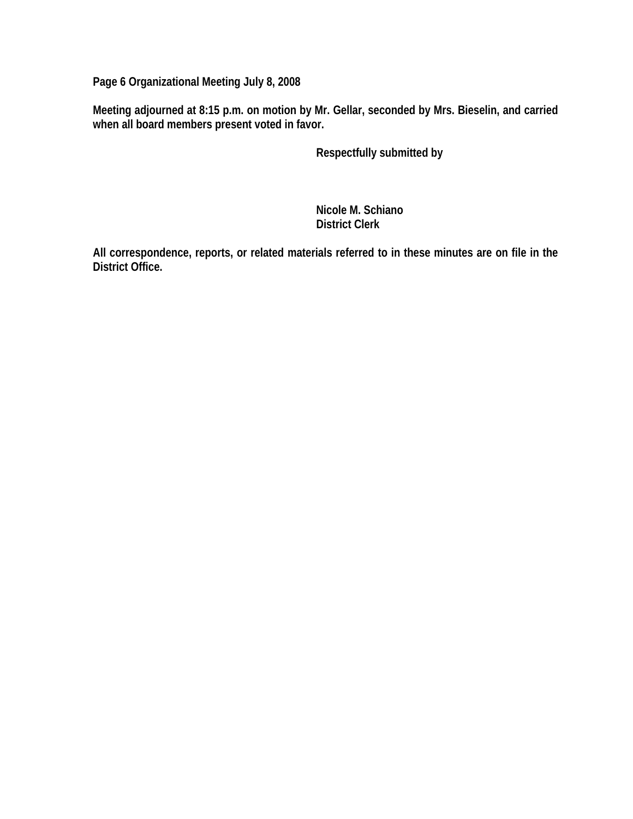**Page 6 Organizational Meeting July 8, 2008** 

**Meeting adjourned at 8:15 p.m. on motion by Mr. Gellar, seconded by Mrs. Bieselin, and carried when all board members present voted in favor.** 

 **Respectfully submitted by** 

 **Nicole M. Schiano District Clerk** 

**All correspondence, reports, or related materials referred to in these minutes are on file in the District Office.**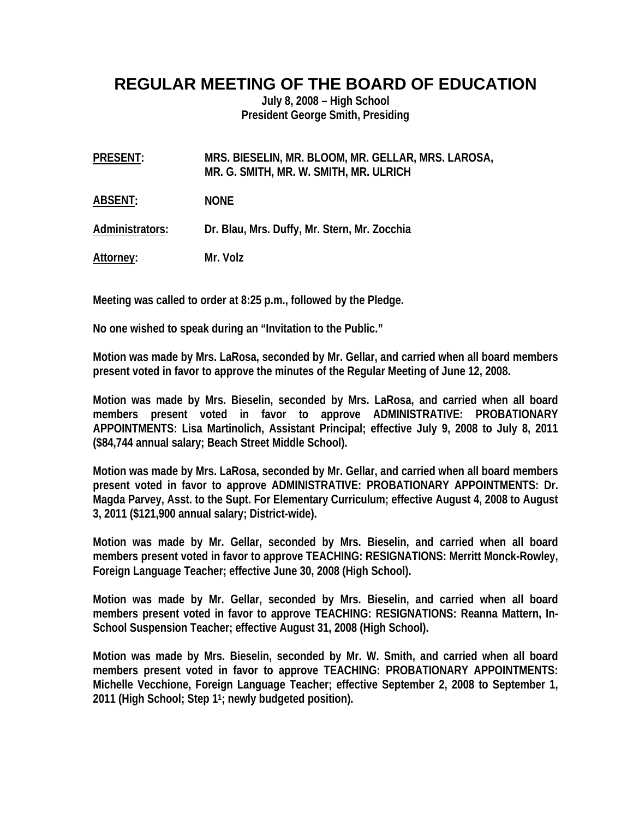## **REGULAR MEETING OF THE BOARD OF EDUCATION**

**July 8, 2008 – High School President George Smith, Presiding** 

**PRESENT: MRS. BIESELIN, MR. BLOOM, MR. GELLAR, MRS. LAROSA, MR. G. SMITH, MR. W. SMITH, MR. ULRICH** 

**ABSENT: NONE** 

**Administrators: Dr. Blau, Mrs. Duffy, Mr. Stern, Mr. Zocchia** 

**Attorney: Mr. Volz** 

**Meeting was called to order at 8:25 p.m., followed by the Pledge.** 

**No one wished to speak during an "Invitation to the Public."** 

**Motion was made by Mrs. LaRosa, seconded by Mr. Gellar, and carried when all board members present voted in favor to approve the minutes of the Regular Meeting of June 12, 2008.** 

**Motion was made by Mrs. Bieselin, seconded by Mrs. LaRosa, and carried when all board members present voted in favor to approve ADMINISTRATIVE: PROBATIONARY APPOINTMENTS: Lisa Martinolich, Assistant Principal; effective July 9, 2008 to July 8, 2011 (\$84,744 annual salary; Beach Street Middle School).** 

**Motion was made by Mrs. LaRosa, seconded by Mr. Gellar, and carried when all board members present voted in favor to approve ADMINISTRATIVE: PROBATIONARY APPOINTMENTS: Dr. Magda Parvey, Asst. to the Supt. For Elementary Curriculum; effective August 4, 2008 to August 3, 2011 (\$121,900 annual salary; District-wide).** 

**Motion was made by Mr. Gellar, seconded by Mrs. Bieselin, and carried when all board members present voted in favor to approve TEACHING: RESIGNATIONS: Merritt Monck-Rowley, Foreign Language Teacher; effective June 30, 2008 (High School).** 

**Motion was made by Mr. Gellar, seconded by Mrs. Bieselin, and carried when all board members present voted in favor to approve TEACHING: RESIGNATIONS: Reanna Mattern, In-School Suspension Teacher; effective August 31, 2008 (High School).** 

**Motion was made by Mrs. Bieselin, seconded by Mr. W. Smith, and carried when all board members present voted in favor to approve TEACHING: PROBATIONARY APPOINTMENTS: Michelle Vecchione, Foreign Language Teacher; effective September 2, 2008 to September 1, 2011 (High School; Step 11; newly budgeted position).**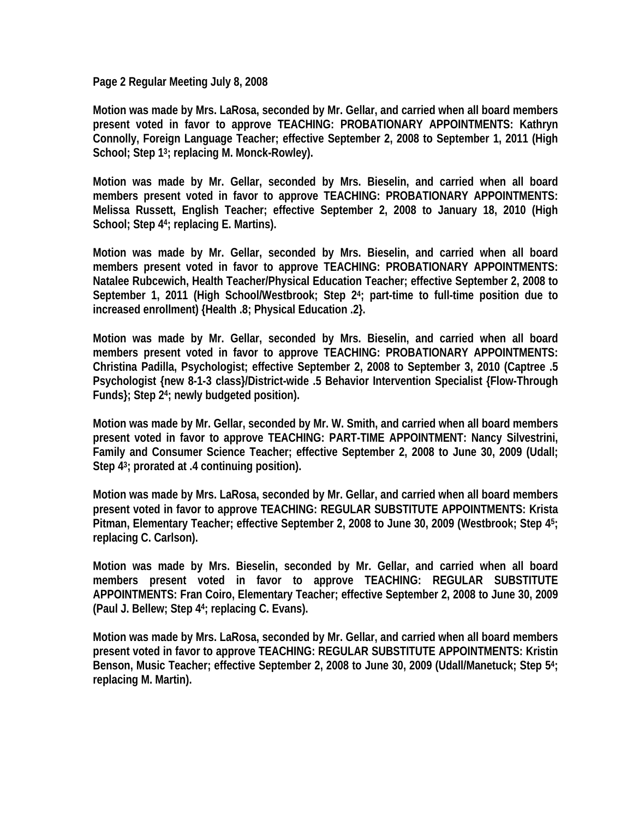**Page 2 Regular Meeting July 8, 2008** 

**Motion was made by Mrs. LaRosa, seconded by Mr. Gellar, and carried when all board members present voted in favor to approve TEACHING: PROBATIONARY APPOINTMENTS: Kathryn Connolly, Foreign Language Teacher; effective September 2, 2008 to September 1, 2011 (High School; Step 13; replacing M. Monck-Rowley).** 

**Motion was made by Mr. Gellar, seconded by Mrs. Bieselin, and carried when all board members present voted in favor to approve TEACHING: PROBATIONARY APPOINTMENTS: Melissa Russett, English Teacher; effective September 2, 2008 to January 18, 2010 (High School; Step 44; replacing E. Martins).** 

**Motion was made by Mr. Gellar, seconded by Mrs. Bieselin, and carried when all board members present voted in favor to approve TEACHING: PROBATIONARY APPOINTMENTS: Natalee Rubcewich, Health Teacher/Physical Education Teacher; effective September 2, 2008 to September 1, 2011 (High School/Westbrook; Step 24; part-time to full-time position due to increased enrollment) {Health .8; Physical Education .2}.** 

**Motion was made by Mr. Gellar, seconded by Mrs. Bieselin, and carried when all board members present voted in favor to approve TEACHING: PROBATIONARY APPOINTMENTS: Christina Padilla, Psychologist; effective September 2, 2008 to September 3, 2010 (Captree .5 Psychologist {new 8-1-3 class}/District-wide .5 Behavior Intervention Specialist {Flow-Through Funds}; Step 24; newly budgeted position).** 

**Motion was made by Mr. Gellar, seconded by Mr. W. Smith, and carried when all board members present voted in favor to approve TEACHING: PART-TIME APPOINTMENT: Nancy Silvestrini, Family and Consumer Science Teacher; effective September 2, 2008 to June 30, 2009 (Udall; Step 43; prorated at .4 continuing position).** 

**Motion was made by Mrs. LaRosa, seconded by Mr. Gellar, and carried when all board members present voted in favor to approve TEACHING: REGULAR SUBSTITUTE APPOINTMENTS: Krista Pitman, Elementary Teacher; effective September 2, 2008 to June 30, 2009 (Westbrook; Step 45; replacing C. Carlson).** 

**Motion was made by Mrs. Bieselin, seconded by Mr. Gellar, and carried when all board members present voted in favor to approve TEACHING: REGULAR SUBSTITUTE APPOINTMENTS: Fran Coiro, Elementary Teacher; effective September 2, 2008 to June 30, 2009 (Paul J. Bellew; Step 44; replacing C. Evans).** 

**Motion was made by Mrs. LaRosa, seconded by Mr. Gellar, and carried when all board members present voted in favor to approve TEACHING: REGULAR SUBSTITUTE APPOINTMENTS: Kristin Benson, Music Teacher; effective September 2, 2008 to June 30, 2009 (Udall/Manetuck; Step 54; replacing M. Martin).**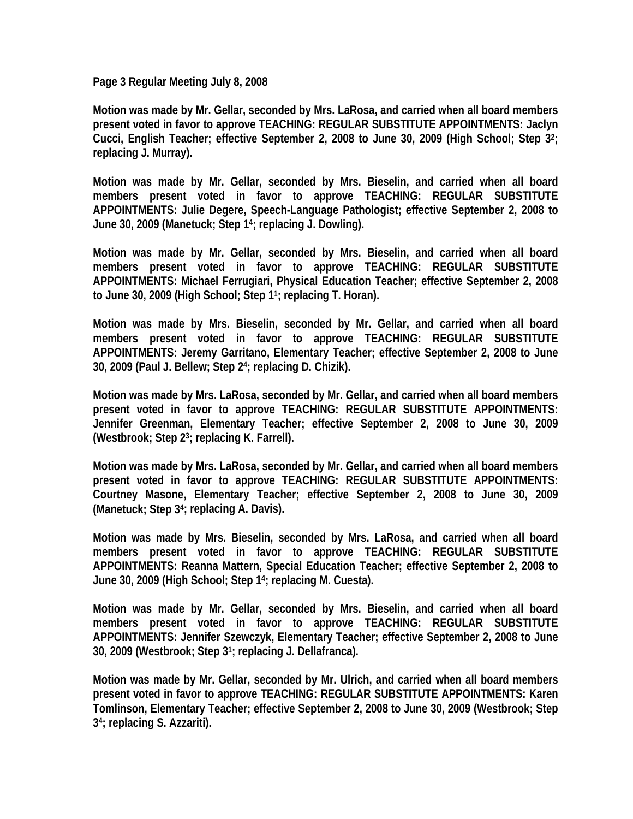**Page 3 Regular Meeting July 8, 2008** 

**Motion was made by Mr. Gellar, seconded by Mrs. LaRosa, and carried when all board members present voted in favor to approve TEACHING: REGULAR SUBSTITUTE APPOINTMENTS: Jaclyn Cucci, English Teacher; effective September 2, 2008 to June 30, 2009 (High School; Step 32; replacing J. Murray).** 

**Motion was made by Mr. Gellar, seconded by Mrs. Bieselin, and carried when all board members present voted in favor to approve TEACHING: REGULAR SUBSTITUTE APPOINTMENTS: Julie Degere, Speech-Language Pathologist; effective September 2, 2008 to June 30, 2009 (Manetuck; Step 14; replacing J. Dowling).** 

**Motion was made by Mr. Gellar, seconded by Mrs. Bieselin, and carried when all board members present voted in favor to approve TEACHING: REGULAR SUBSTITUTE APPOINTMENTS: Michael Ferrugiari, Physical Education Teacher; effective September 2, 2008 to June 30, 2009 (High School; Step 11; replacing T. Horan).** 

**Motion was made by Mrs. Bieselin, seconded by Mr. Gellar, and carried when all board members present voted in favor to approve TEACHING: REGULAR SUBSTITUTE APPOINTMENTS: Jeremy Garritano, Elementary Teacher; effective September 2, 2008 to June 30, 2009 (Paul J. Bellew; Step 24; replacing D. Chizik).** 

**Motion was made by Mrs. LaRosa, seconded by Mr. Gellar, and carried when all board members present voted in favor to approve TEACHING: REGULAR SUBSTITUTE APPOINTMENTS: Jennifer Greenman, Elementary Teacher; effective September 2, 2008 to June 30, 2009 (Westbrook; Step 23; replacing K. Farrell).** 

**Motion was made by Mrs. LaRosa, seconded by Mr. Gellar, and carried when all board members present voted in favor to approve TEACHING: REGULAR SUBSTITUTE APPOINTMENTS: Courtney Masone, Elementary Teacher; effective September 2, 2008 to June 30, 2009 (Manetuck; Step 34; replacing A. Davis).** 

**Motion was made by Mrs. Bieselin, seconded by Mrs. LaRosa, and carried when all board members present voted in favor to approve TEACHING: REGULAR SUBSTITUTE APPOINTMENTS: Reanna Mattern, Special Education Teacher; effective September 2, 2008 to June 30, 2009 (High School; Step 14; replacing M. Cuesta).** 

**Motion was made by Mr. Gellar, seconded by Mrs. Bieselin, and carried when all board members present voted in favor to approve TEACHING: REGULAR SUBSTITUTE APPOINTMENTS: Jennifer Szewczyk, Elementary Teacher; effective September 2, 2008 to June 30, 2009 (Westbrook; Step 31; replacing J. Dellafranca).** 

**Motion was made by Mr. Gellar, seconded by Mr. Ulrich, and carried when all board members present voted in favor to approve TEACHING: REGULAR SUBSTITUTE APPOINTMENTS: Karen Tomlinson, Elementary Teacher; effective September 2, 2008 to June 30, 2009 (Westbrook; Step 34; replacing S. Azzariti).**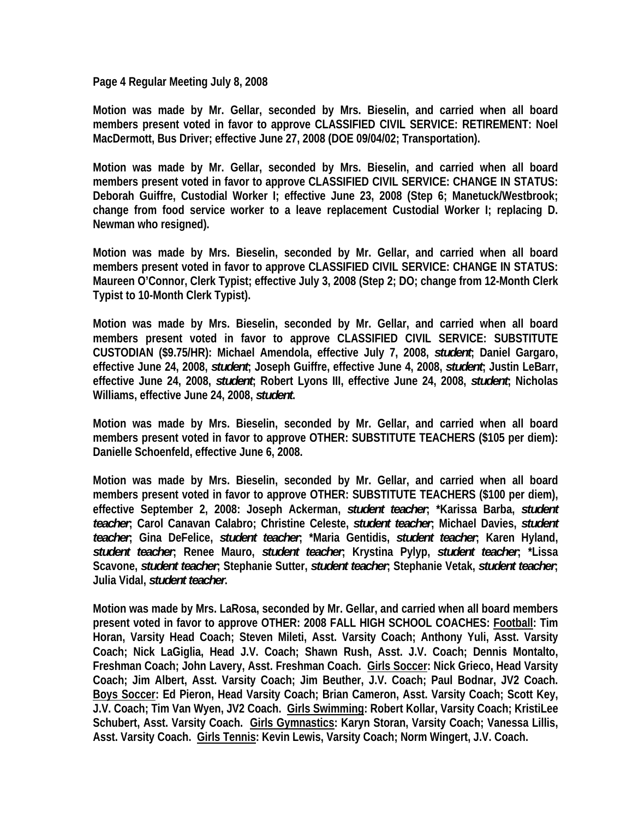**Page 4 Regular Meeting July 8, 2008** 

**Motion was made by Mr. Gellar, seconded by Mrs. Bieselin, and carried when all board members present voted in favor to approve CLASSIFIED CIVIL SERVICE: RETIREMENT: Noel MacDermott, Bus Driver; effective June 27, 2008 (DOE 09/04/02; Transportation).** 

**Motion was made by Mr. Gellar, seconded by Mrs. Bieselin, and carried when all board members present voted in favor to approve CLASSIFIED CIVIL SERVICE: CHANGE IN STATUS: Deborah Guiffre, Custodial Worker I; effective June 23, 2008 (Step 6; Manetuck/Westbrook; change from food service worker to a leave replacement Custodial Worker I; replacing D. Newman who resigned).** 

**Motion was made by Mrs. Bieselin, seconded by Mr. Gellar, and carried when all board members present voted in favor to approve CLASSIFIED CIVIL SERVICE: CHANGE IN STATUS: Maureen O'Connor, Clerk Typist; effective July 3, 2008 (Step 2; DO; change from 12-Month Clerk Typist to 10-Month Clerk Typist).** 

**Motion was made by Mrs. Bieselin, seconded by Mr. Gellar, and carried when all board members present voted in favor to approve CLASSIFIED CIVIL SERVICE: SUBSTITUTE CUSTODIAN (\$9.75/HR): Michael Amendola, effective July 7, 2008,** *student***; Daniel Gargaro, effective June 24, 2008,** *student***; Joseph Guiffre, effective June 4, 2008,** *student***; Justin LeBarr, effective June 24, 2008,** *student***; Robert Lyons III, effective June 24, 2008,** *student***; Nicholas Williams, effective June 24, 2008,** *student***.** 

**Motion was made by Mrs. Bieselin, seconded by Mr. Gellar, and carried when all board members present voted in favor to approve OTHER: SUBSTITUTE TEACHERS (\$105 per diem): Danielle Schoenfeld, effective June 6, 2008.** 

**Motion was made by Mrs. Bieselin, seconded by Mr. Gellar, and carried when all board members present voted in favor to approve OTHER: SUBSTITUTE TEACHERS (\$100 per diem), effective September 2, 2008: Joseph Ackerman,** *student teacher***; \*Karissa Barba,** *student teacher***; Carol Canavan Calabro; Christine Celeste,** *student teacher***; Michael Davies,** *student teacher***; Gina DeFelice,** *student teacher***; \*Maria Gentidis,** *student teacher***; Karen Hyland,**  *student teacher***; Renee Mauro,** *student teacher***; Krystina Pylyp,** *student teacher***; \*Lissa Scavone,** *student teacher***; Stephanie Sutter,** *student teacher***; Stephanie Vetak,** *student teacher***; Julia Vidal,** *student teacher***.** 

**Motion was made by Mrs. LaRosa, seconded by Mr. Gellar, and carried when all board members present voted in favor to approve OTHER: 2008 FALL HIGH SCHOOL COACHES: Football: Tim Horan, Varsity Head Coach; Steven Mileti, Asst. Varsity Coach; Anthony Yuli, Asst. Varsity Coach; Nick LaGiglia, Head J.V. Coach; Shawn Rush, Asst. J.V. Coach; Dennis Montalto, Freshman Coach; John Lavery, Asst. Freshman Coach. Girls Soccer: Nick Grieco, Head Varsity Coach; Jim Albert, Asst. Varsity Coach; Jim Beuther, J.V. Coach; Paul Bodnar, JV2 Coach. Boys Soccer: Ed Pieron, Head Varsity Coach; Brian Cameron, Asst. Varsity Coach; Scott Key, J.V. Coach; Tim Van Wyen, JV2 Coach. Girls Swimming: Robert Kollar, Varsity Coach; KristiLee Schubert, Asst. Varsity Coach. Girls Gymnastics: Karyn Storan, Varsity Coach; Vanessa Lillis, Asst. Varsity Coach. Girls Tennis: Kevin Lewis, Varsity Coach; Norm Wingert, J.V. Coach.**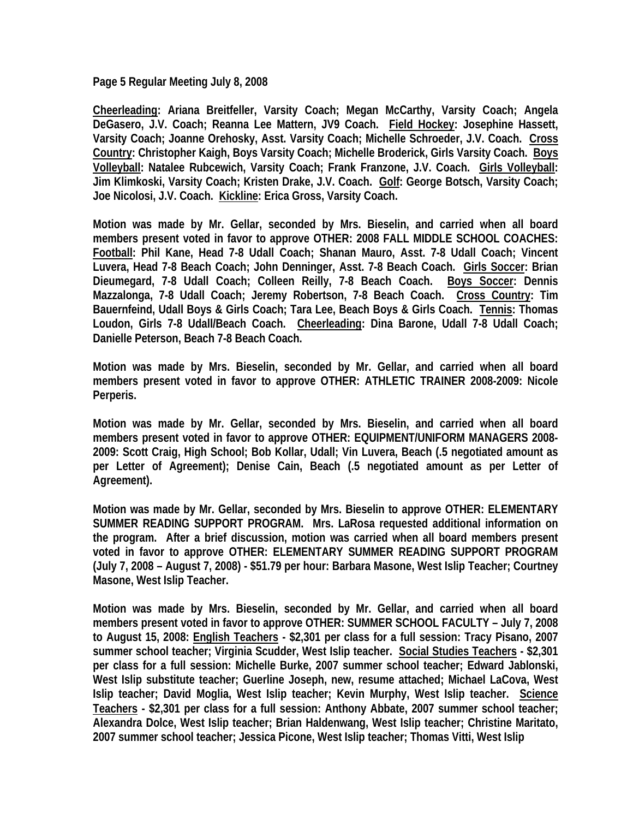**Page 5 Regular Meeting July 8, 2008** 

**Cheerleading: Ariana Breitfeller, Varsity Coach; Megan McCarthy, Varsity Coach; Angela DeGasero, J.V. Coach; Reanna Lee Mattern, JV9 Coach. Field Hockey: Josephine Hassett, Varsity Coach; Joanne Orehosky, Asst. Varsity Coach; Michelle Schroeder, J.V. Coach. Cross Country: Christopher Kaigh, Boys Varsity Coach; Michelle Broderick, Girls Varsity Coach. Boys Volleyball: Natalee Rubcewich, Varsity Coach; Frank Franzone, J.V. Coach. Girls Volleyball: Jim Klimkoski, Varsity Coach; Kristen Drake, J.V. Coach. Golf: George Botsch, Varsity Coach; Joe Nicolosi, J.V. Coach. Kickline: Erica Gross, Varsity Coach.** 

**Motion was made by Mr. Gellar, seconded by Mrs. Bieselin, and carried when all board members present voted in favor to approve OTHER: 2008 FALL MIDDLE SCHOOL COACHES: Football: Phil Kane, Head 7-8 Udall Coach; Shanan Mauro, Asst. 7-8 Udall Coach; Vincent Luvera, Head 7-8 Beach Coach; John Denninger, Asst. 7-8 Beach Coach. Girls Soccer: Brian Dieumegard, 7-8 Udall Coach; Colleen Reilly, 7-8 Beach Coach. Boys Soccer: Dennis Mazzalonga, 7-8 Udall Coach; Jeremy Robertson, 7-8 Beach Coach. Cross Country: Tim Bauernfeind, Udall Boys & Girls Coach; Tara Lee, Beach Boys & Girls Coach. Tennis: Thomas Loudon, Girls 7-8 Udall/Beach Coach. Cheerleading: Dina Barone, Udall 7-8 Udall Coach; Danielle Peterson, Beach 7-8 Beach Coach.** 

**Motion was made by Mrs. Bieselin, seconded by Mr. Gellar, and carried when all board members present voted in favor to approve OTHER: ATHLETIC TRAINER 2008-2009: Nicole Perperis.** 

**Motion was made by Mr. Gellar, seconded by Mrs. Bieselin, and carried when all board members present voted in favor to approve OTHER: EQUIPMENT/UNIFORM MANAGERS 2008- 2009: Scott Craig, High School; Bob Kollar, Udall; Vin Luvera, Beach (.5 negotiated amount as per Letter of Agreement); Denise Cain, Beach (.5 negotiated amount as per Letter of Agreement).** 

**Motion was made by Mr. Gellar, seconded by Mrs. Bieselin to approve OTHER: ELEMENTARY SUMMER READING SUPPORT PROGRAM. Mrs. LaRosa requested additional information on the program. After a brief discussion, motion was carried when all board members present voted in favor to approve OTHER: ELEMENTARY SUMMER READING SUPPORT PROGRAM (July 7, 2008 – August 7, 2008) - \$51.79 per hour: Barbara Masone, West Islip Teacher; Courtney Masone, West Islip Teacher.** 

**Motion was made by Mrs. Bieselin, seconded by Mr. Gellar, and carried when all board members present voted in favor to approve OTHER: SUMMER SCHOOL FACULTY – July 7, 2008 to August 15, 2008: English Teachers - \$2,301 per class for a full session: Tracy Pisano, 2007 summer school teacher; Virginia Scudder, West Islip teacher. Social Studies Teachers - \$2,301 per class for a full session: Michelle Burke, 2007 summer school teacher; Edward Jablonski, West Islip substitute teacher; Guerline Joseph, new, resume attached; Michael LaCova, West Islip teacher; David Moglia, West Islip teacher; Kevin Murphy, West Islip teacher. Science Teachers - \$2,301 per class for a full session: Anthony Abbate, 2007 summer school teacher; Alexandra Dolce, West Islip teacher; Brian Haldenwang, West Islip teacher; Christine Maritato, 2007 summer school teacher; Jessica Picone, West Islip teacher; Thomas Vitti, West Islip**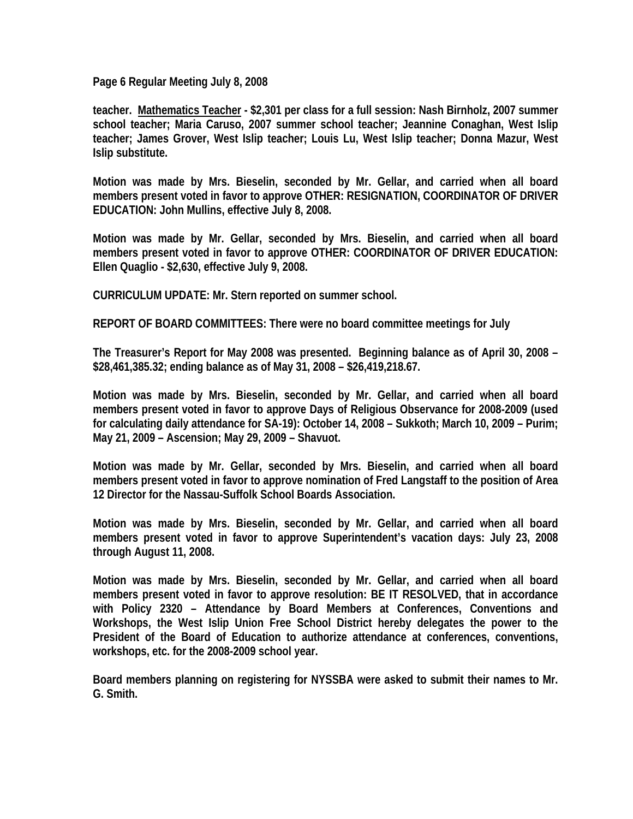**Page 6 Regular Meeting July 8, 2008** 

**teacher. Mathematics Teacher - \$2,301 per class for a full session: Nash Birnholz, 2007 summer school teacher; Maria Caruso, 2007 summer school teacher; Jeannine Conaghan, West Islip teacher; James Grover, West Islip teacher; Louis Lu, West Islip teacher; Donna Mazur, West Islip substitute.** 

**Motion was made by Mrs. Bieselin, seconded by Mr. Gellar, and carried when all board members present voted in favor to approve OTHER: RESIGNATION, COORDINATOR OF DRIVER EDUCATION: John Mullins, effective July 8, 2008.** 

**Motion was made by Mr. Gellar, seconded by Mrs. Bieselin, and carried when all board members present voted in favor to approve OTHER: COORDINATOR OF DRIVER EDUCATION: Ellen Quaglio - \$2,630, effective July 9, 2008.** 

**CURRICULUM UPDATE: Mr. Stern reported on summer school.** 

**REPORT OF BOARD COMMITTEES: There were no board committee meetings for July** 

**The Treasurer's Report for May 2008 was presented. Beginning balance as of April 30, 2008 – \$28,461,385.32; ending balance as of May 31, 2008 – \$26,419,218.67.** 

**Motion was made by Mrs. Bieselin, seconded by Mr. Gellar, and carried when all board members present voted in favor to approve Days of Religious Observance for 2008-2009 (used for calculating daily attendance for SA-19): October 14, 2008 – Sukkoth; March 10, 2009 – Purim; May 21, 2009 – Ascension; May 29, 2009 – Shavuot.** 

**Motion was made by Mr. Gellar, seconded by Mrs. Bieselin, and carried when all board members present voted in favor to approve nomination of Fred Langstaff to the position of Area 12 Director for the Nassau-Suffolk School Boards Association.** 

**Motion was made by Mrs. Bieselin, seconded by Mr. Gellar, and carried when all board members present voted in favor to approve Superintendent's vacation days: July 23, 2008 through August 11, 2008.** 

**Motion was made by Mrs. Bieselin, seconded by Mr. Gellar, and carried when all board members present voted in favor to approve resolution: BE IT RESOLVED, that in accordance with Policy 2320 – Attendance by Board Members at Conferences, Conventions and Workshops, the West Islip Union Free School District hereby delegates the power to the President of the Board of Education to authorize attendance at conferences, conventions, workshops, etc. for the 2008-2009 school year.** 

**Board members planning on registering for NYSSBA were asked to submit their names to Mr. G. Smith.**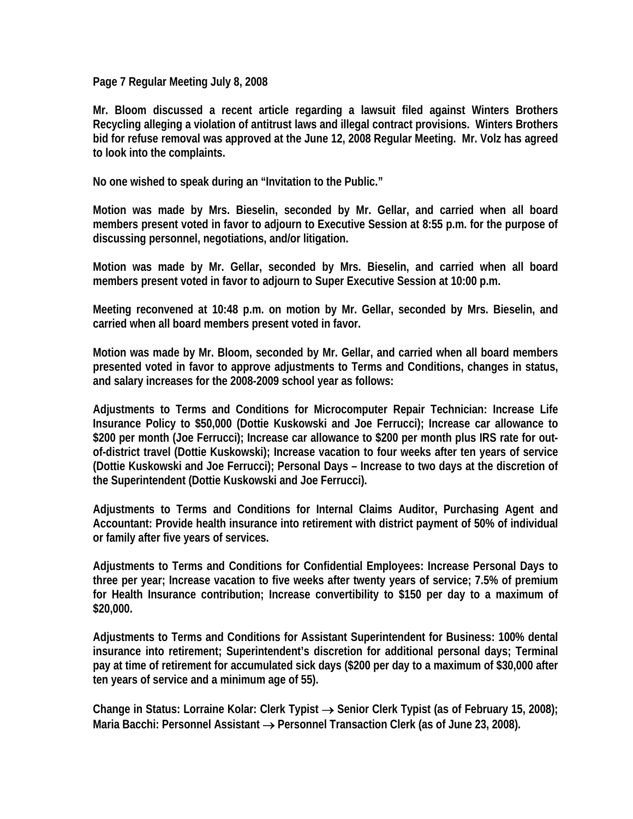**Page 7 Regular Meeting July 8, 2008** 

**Mr. Bloom discussed a recent article regarding a lawsuit filed against Winters Brothers Recycling alleging a violation of antitrust laws and illegal contract provisions. Winters Brothers bid for refuse removal was approved at the June 12, 2008 Regular Meeting. Mr. Volz has agreed to look into the complaints.** 

**No one wished to speak during an "Invitation to the Public."** 

**Motion was made by Mrs. Bieselin, seconded by Mr. Gellar, and carried when all board members present voted in favor to adjourn to Executive Session at 8:55 p.m. for the purpose of discussing personnel, negotiations, and/or litigation.** 

**Motion was made by Mr. Gellar, seconded by Mrs. Bieselin, and carried when all board members present voted in favor to adjourn to Super Executive Session at 10:00 p.m.** 

**Meeting reconvened at 10:48 p.m. on motion by Mr. Gellar, seconded by Mrs. Bieselin, and carried when all board members present voted in favor.** 

**Motion was made by Mr. Bloom, seconded by Mr. Gellar, and carried when all board members presented voted in favor to approve adjustments to Terms and Conditions, changes in status, and salary increases for the 2008-2009 school year as follows:** 

**Adjustments to Terms and Conditions for Microcomputer Repair Technician: Increase Life Insurance Policy to \$50,000 (Dottie Kuskowski and Joe Ferrucci); Increase car allowance to \$200 per month (Joe Ferrucci); Increase car allowance to \$200 per month plus IRS rate for outof-district travel (Dottie Kuskowski); Increase vacation to four weeks after ten years of service (Dottie Kuskowski and Joe Ferrucci); Personal Days – Increase to two days at the discretion of the Superintendent (Dottie Kuskowski and Joe Ferrucci).** 

**Adjustments to Terms and Conditions for Internal Claims Auditor, Purchasing Agent and Accountant: Provide health insurance into retirement with district payment of 50% of individual or family after five years of services.** 

**Adjustments to Terms and Conditions for Confidential Employees: Increase Personal Days to three per year; Increase vacation to five weeks after twenty years of service; 7.5% of premium for Health Insurance contribution; Increase convertibility to \$150 per day to a maximum of \$20,000.** 

**Adjustments to Terms and Conditions for Assistant Superintendent for Business: 100% dental insurance into retirement; Superintendent's discretion for additional personal days; Terminal pay at time of retirement for accumulated sick days (\$200 per day to a maximum of \$30,000 after ten years of service and a minimum age of 55).** 

**Change in Status: Lorraine Kolar: Clerk Typist** → **Senior Clerk Typist (as of February 15, 2008);**  Maria Bacchi: Personnel Assistant → Personnel Transaction Clerk (as of June 23, 2008).